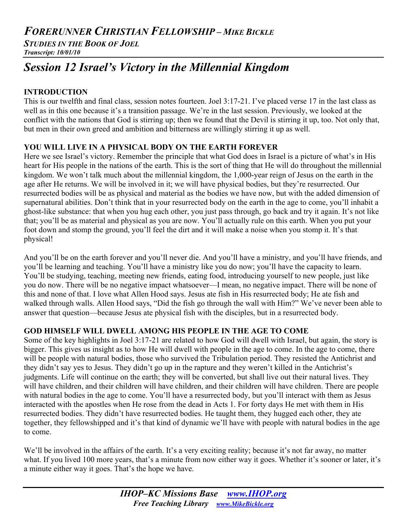# *FORERUNNER CHRISTIAN FELLOWSHIP – MIKE BICKLE*

*STUDIES IN THE BOOK OF JOEL Transcript: 10/01/10*

# *Session 12 Israel's Victory in the Millennial Kingdom*

# **INTRODUCTION**

This is our twelfth and final class, session notes fourteen. Joel 3:17-21. I've placed verse 17 in the last class as well as in this one because it's a transition passage. We're in the last session. Previously, we looked at the conflict with the nations that God is stirring up; then we found that the Devil is stirring it up, too. Not only that, but men in their own greed and ambition and bitterness are willingly stirring it up as well.

# **YOU WILL LIVE IN A PHYSICAL BODY ON THE EARTH FOREVER**

Here we see Israel's victory. Remember the principle that what God does in Israel is a picture of what's in His heart for His people in the nations of the earth. This is the sort of thing that He will do throughout the millennial kingdom. We won't talk much about the millennial kingdom, the 1,000-year reign of Jesus on the earth in the age after He returns. We will be involved in it; we will have physical bodies, but they're resurrected. Our resurrected bodies will be as physical and material as the bodies we have now, but with the added dimension of supernatural abilities. Don't think that in your resurrected body on the earth in the age to come, you'll inhabit a ghost-like substance: that when you hug each other, you just pass through, go back and try it again. It's not like that; you'll be as material and physical as you are now. You'll actually rule on this earth. When you put your foot down and stomp the ground, you'll feel the dirt and it will make a noise when you stomp it. It's that physical!

And you'll be on the earth forever and you'll never die. And you'll have a ministry, and you'll have friends, and you'll be learning and teaching. You'll have a ministry like you do now; you'll have the capacity to learn. You'll be studying, teaching, meeting new friends, eating food, introducing yourself to new people, just like you do now. There will be no negative impact whatsoever—I mean, no negative impact. There will be none of this and none of that. I love what Allen Hood says. Jesus ate fish in His resurrected body; He ate fish and walked through walls. Allen Hood says, "Did the fish go through the wall with Him?" We've never been able to answer that question—because Jesus ate physical fish with the disciples, but in a resurrected body.

# **GOD HIMSELF WILL DWELL AMONG HIS PEOPLE IN THE AGE TO COME**

Some of the key highlights in Joel 3:17-21 are related to how God will dwell with Israel, but again, the story is bigger. This gives us insight as to how He will dwell with people in the age to come. In the age to come, there will be people with natural bodies, those who survived the Tribulation period. They resisted the Antichrist and they didn't say yes to Jesus. They didn't go up in the rapture and they weren't killed in the Antichrist's judgments. Life will continue on the earth; they will be converted, but shall live out their natural lives. They will have children, and their children will have children, and their children will have children. There are people with natural bodies in the age to come. You'll have a resurrected body, but you'll interact with them as Jesus interacted with the apostles when He rose from the dead in Acts 1. For forty days He met with them in His resurrected bodies. They didn't have resurrected bodies. He taught them, they hugged each other, they ate together, they fellowshipped and it's that kind of dynamic we'll have with people with natural bodies in the age to come.

We'll be involved in the affairs of the earth. It's a very exciting reality; because it's not far away, no matter what. If you lived 100 more years, that's a minute from now either way it goes. Whether it's sooner or later, it's a minute either way it goes. That's the hope we have.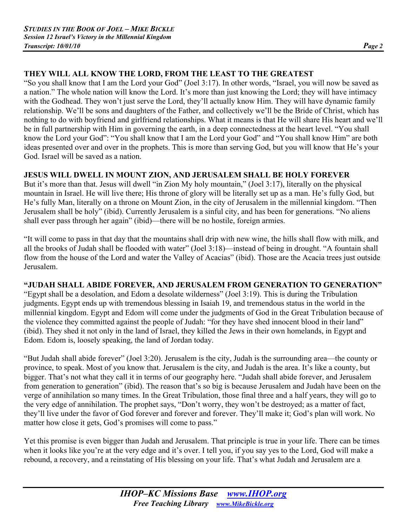# **THEY WILL ALL KNOW THE LORD, FROM THE LEAST TO THE GREATEST**

"So you shall know that I am the Lord your God" (Joel 3:17). In other words, "Israel, you will now be saved as a nation." The whole nation will know the Lord. It's more than just knowing the Lord; they will have intimacy with the Godhead. They won't just serve the Lord, they'll actually know Him. They will have dynamic family relationship. We'll be sons and daughters of the Father, and collectively we'll be the Bride of Christ, which has nothing to do with boyfriend and girlfriend relationships. What it means is that He will share His heart and we'll be in full partnership with Him in governing the earth, in a deep connectedness at the heart level. "You shall know the Lord your God": "You shall know that I am the Lord your God" and "You shall know Him" are both ideas presented over and over in the prophets. This is more than serving God, but you will know that He's your God. Israel will be saved as a nation.

### **JESUS WILL DWELL IN MOUNT ZION, AND JERUSALEM SHALL BE HOLY FOREVER**

But it's more than that. Jesus will dwell "in Zion My holy mountain," (Joel 3:17), literally on the physical mountain in Israel. He will live there; His throne of glory will be literally set up as a man. He's fully God, but He's fully Man, literally on a throne on Mount Zion, in the city of Jerusalem in the millennial kingdom. "Then Jerusalem shall be holy" (ibid). Currently Jerusalem is a sinful city, and has been for generations. "No aliens shall ever pass through her again" (ibid)—there will be no hostile, foreign armies.

"It will come to pass in that day that the mountains shall drip with new wine, the hills shall flow with milk, and all the brooks of Judah shall be flooded with water" (Joel 3:18)—instead of being in drought. "A fountain shall flow from the house of the Lord and water the Valley of Acacias" (ibid). Those are the Acacia trees just outside Jerusalem.

# **"JUDAH SHALL ABIDE FOREVER, AND JERUSALEM FROM GENERATION TO GENERATION"**

"Egypt shall be a desolation, and Edom a desolate wilderness" (Joel 3:19). This is during the Tribulation judgments. Egypt ends up with tremendous blessing in Isaiah 19, and tremendous status in the world in the millennial kingdom. Egypt and Edom will come under the judgments of God in the Great Tribulation because of the violence they committed against the people of Judah: "for they have shed innocent blood in their land" (ibid). They shed it not only in the land of Israel, they killed the Jews in their own homelands, in Egypt and Edom. Edom is, loosely speaking, the land of Jordan today.

"But Judah shall abide forever" (Joel 3:20). Jerusalem is the city, Judah is the surrounding area—the county or province, to speak. Most of you know that. Jerusalem is the city, and Judah is the area. It's like a county, but bigger. That's not what they call it in terms of our geography here. "Judah shall abide forever, and Jerusalem from generation to generation" (ibid). The reason that's so big is because Jerusalem and Judah have been on the verge of annihilation so many times. In the Great Tribulation, those final three and a half years, they will go to the very edge of annihilation. The prophet says, "Don't worry, they won't be destroyed; as a matter of fact, they'll live under the favor of God forever and forever and forever. They'll make it; God's plan will work. No matter how close it gets, God's promises will come to pass."

Yet this promise is even bigger than Judah and Jerusalem. That principle is true in your life. There can be times when it looks like you're at the very edge and it's over. I tell you, if you say yes to the Lord, God will make a rebound, a recovery, and a reinstating of His blessing on your life. That's what Judah and Jerusalem are a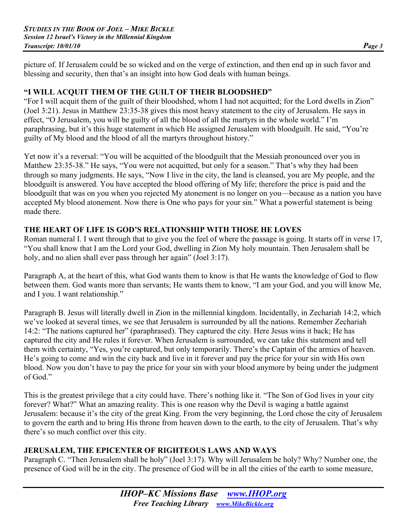picture of. If Jerusalem could be so wicked and on the verge of extinction, and then end up in such favor and blessing and security, then that's an insight into how God deals with human beings.

# **"I WILL ACQUIT THEM OF THE GUILT OF THEIR BLOODSHED"**

"For I will acquit them of the guilt of their bloodshed, whom I had not acquitted; for the Lord dwells in Zion" (Joel 3:21). Jesus in Matthew 23:35-38 gives this most heavy statement to the city of Jerusalem. He says in effect, "O Jerusalem, you will be guilty of all the blood of all the martyrs in the whole world." I'm paraphrasing, but it's this huge statement in which He assigned Jerusalem with bloodguilt. He said, "You're guilty of My blood and the blood of all the martyrs throughout history."

Yet now it's a reversal: "You will be acquitted of the bloodguilt that the Messiah pronounced over you in Matthew 23:35-38." He says, "You were not acquitted, but only for a season." That's why they had been through so many judgments. He says, "Now I live in the city, the land is cleansed, you are My people, and the bloodguilt is answered. You have accepted the blood offering of My life; therefore the price is paid and the bloodguilt that was on you when you rejected My atonement is no longer on you—because as a nation you have accepted My blood atonement. Now there is One who pays for your sin." What a powerful statement is being made there.

### **THE HEART OF LIFE IS GOD'S RELATIONSHIP WITH THOSE HE LOVES**

Roman numeral I. I went through that to give you the feel of where the passage is going. It starts off in verse 17, "You shall know that I am the Lord your God, dwelling in Zion My holy mountain. Then Jerusalem shall be holy, and no alien shall ever pass through her again" (Joel 3:17).

Paragraph A, at the heart of this, what God wants them to know is that He wants the knowledge of God to flow between them. God wants more than servants; He wants them to know, "I am your God, and you will know Me, and I you. I want relationship."

Paragraph B. Jesus will literally dwell in Zion in the millennial kingdom. Incidentally, in Zechariah 14:2, which we've looked at several times, we see that Jerusalem is surrounded by all the nations. Remember Zechariah 14:2: "The nations captured her" (paraphrased). They captured the city. Here Jesus wins it back; He has captured the city and He rules it forever. When Jerusalem is surrounded, we can take this statement and tell them with certainty, "Yes, you're captured, but only temporarily. There's the Captain of the armies of heaven. He's going to come and win the city back and live in it forever and pay the price for your sin with His own blood. Now you don't have to pay the price for your sin with your blood anymore by being under the judgment of God."

This is the greatest privilege that a city could have. There's nothing like it. "The Son of God lives in your city forever? What?" What an amazing reality. This is one reason why the Devil is waging a battle against Jerusalem: because it's the city of the great King. From the very beginning, the Lord chose the city of Jerusalem to govern the earth and to bring His throne from heaven down to the earth, to the city of Jerusalem. That's why there's so much conflict over this city.

# **JERUSALEM, THE EPICENTER OF RIGHTEOUS LAWS AND WAYS**

Paragraph C. "Then Jerusalem shall be holy" (Joel 3:17). Why will Jerusalem be holy? Why? Number one, the presence of God will be in the city. The presence of God will be in all the cities of the earth to some measure,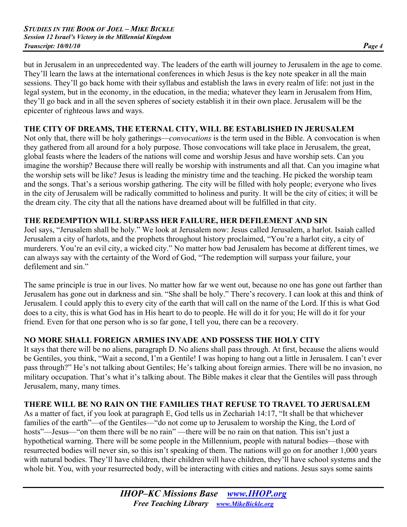but in Jerusalem in an unprecedented way. The leaders of the earth will journey to Jerusalem in the age to come. They'll learn the laws at the international conferences in which Jesus is the key note speaker in all the main sessions. They'll go back home with their syllabus and establish the laws in every realm of life: not just in the legal system, but in the economy, in the education, in the media; whatever they learn in Jerusalem from Him, they'll go back and in all the seven spheres of society establish it in their own place. Jerusalem will be the epicenter of righteous laws and ways.

### **THE CITY OF DREAMS, THE ETERNAL CITY, WILL BE ESTABLISHED IN JERUSALEM**

Not only that, there will be holy gatherings—*convocations* is the term used in the Bible. A convocation is when they gathered from all around for a holy purpose. Those convocations will take place in Jerusalem, the great, global feasts where the leaders of the nations will come and worship Jesus and have worship sets. Can you imagine the worship? Because there will really be worship with instruments and all that. Can you imagine what the worship sets will be like? Jesus is leading the ministry time and the teaching. He picked the worship team and the songs. That's a serious worship gathering. The city will be filled with holy people; everyone who lives in the city of Jerusalem will be radically committed to holiness and purity. It will be the city of cities; it will be the dream city. The city that all the nations have dreamed about will be fulfilled in that city.

### **THE REDEMPTION WILL SURPASS HER FAILURE, HER DEFILEMENT AND SIN**

Joel says, "Jerusalem shall be holy." We look at Jerusalem now: Jesus called Jerusalem, a harlot. Isaiah called Jerusalem a city of harlots, and the prophets throughout history proclaimed, "You're a harlot city, a city of murderers. You're an evil city, a wicked city." No matter how bad Jerusalem has become at different times, we can always say with the certainty of the Word of God, "The redemption will surpass your failure, your defilement and sin."

The same principle is true in our lives. No matter how far we went out, because no one has gone out farther than Jerusalem has gone out in darkness and sin. "She shall be holy." There's recovery. I can look at this and think of Jerusalem. I could apply this to every city of the earth that will call on the name of the Lord. If this is what God does to a city, this is what God has in His heart to do to people. He will do it for you; He will do it for your friend. Even for that one person who is so far gone, I tell you, there can be a recovery.

# **NO MORE SHALL FOREIGN ARMIES INVADE AND POSSESS THE HOLY CITY**

It says that there will be no aliens, paragraph D. No aliens shall pass through. At first, because the aliens would be Gentiles, you think, "Wait a second, I'm a Gentile! I was hoping to hang out a little in Jerusalem. I can't ever pass through?" He's not talking about Gentiles; He's talking about foreign armies. There will be no invasion, no military occupation. That's what it's talking about. The Bible makes it clear that the Gentiles will pass through Jerusalem, many, many times.

# **THERE WILL BE NO RAIN ON THE FAMILIES THAT REFUSE TO TRAVEL TO JERUSALEM**

As a matter of fact, if you look at paragraph E, God tells us in Zechariah 14:17, "It shall be that whichever families of the earth"—of the Gentiles—"do not come up to Jerusalem to worship the King, the Lord of hosts"—Jesus—"on them there will be no rain" —there will be no rain on that nation. This isn't just a hypothetical warning. There will be some people in the Millennium, people with natural bodies—those with resurrected bodies will never sin, so this isn't speaking of them. The nations will go on for another 1,000 years with natural bodies. They'll have children, their children will have children, they'll have school systems and the whole bit. You, with your resurrected body, will be interacting with cities and nations. Jesus says some saints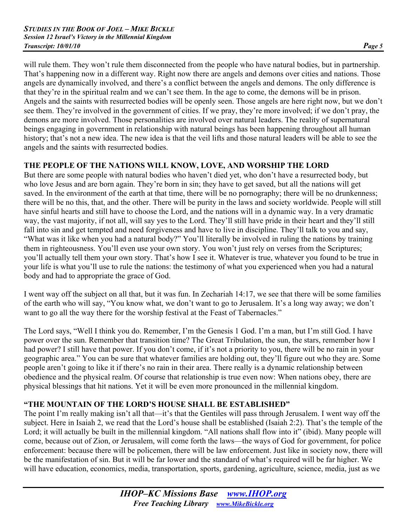will rule them. They won't rule them disconnected from the people who have natural bodies, but in partnership. That's happening now in a different way. Right now there are angels and demons over cities and nations. Those angels are dynamically involved, and there's a conflict between the angels and demons. The only difference is that they're in the spiritual realm and we can't see them. In the age to come, the demons will be in prison. Angels and the saints with resurrected bodies will be openly seen. Those angels are here right now, but we don't see them. They're involved in the government of cities. If we pray, they're more involved; if we don't pray, the demons are more involved. Those personalities are involved over natural leaders. The reality of supernatural beings engaging in government in relationship with natural beings has been happening throughout all human history; that's not a new idea. The new idea is that the veil lifts and those natural leaders will be able to see the angels and the saints with resurrected bodies.

# **THE PEOPLE OF THE NATIONS WILL KNOW, LOVE, AND WORSHIP THE LORD**

But there are some people with natural bodies who haven't died yet, who don't have a resurrected body, but who love Jesus and are born again. They're born in sin; they have to get saved, but all the nations will get saved. In the environment of the earth at that time, there will be no pornography; there will be no drunkenness; there will be no this, that, and the other. There will be purity in the laws and society worldwide. People will still have sinful hearts and still have to choose the Lord, and the nations will in a dynamic way. In a very dramatic way, the vast majority, if not all, will say yes to the Lord. They'll still have pride in their heart and they'll still fall into sin and get tempted and need forgiveness and have to live in discipline. They'll talk to you and say, "What was it like when you had a natural body?" You'll literally be involved in ruling the nations by training them in righteousness. You'll even use your own story. You won't just rely on verses from the Scriptures; you'll actually tell them your own story. That's how I see it. Whatever is true, whatever you found to be true in your life is what you'll use to rule the nations: the testimony of what you experienced when you had a natural body and had to appropriate the grace of God.

I went way off the subject on all that, but it was fun. In Zechariah 14:17, we see that there will be some families of the earth who will say, "You know what, we don't want to go to Jerusalem. It's a long way away; we don't want to go all the way there for the worship festival at the Feast of Tabernacles."

The Lord says, "Well I think you do. Remember, I'm the Genesis 1 God. I'm a man, but I'm still God. I have power over the sun. Remember that transition time? The Great Tribulation, the sun, the stars, remember how I had power? I still have that power. If you don't come, if it's not a priority to you, there will be no rain in your geographic area." You can be sure that whatever families are holding out, they'll figure out who they are. Some people aren't going to like it if there's no rain in their area. There really is a dynamic relationship between obedience and the physical realm. Of course that relationship is true even now: When nations obey, there are physical blessings that hit nations. Yet it will be even more pronounced in the millennial kingdom.

# **"THE MOUNTAIN OF THE LORD'S HOUSE SHALL BE ESTABLISHED"**

The point I'm really making isn't all that—it's that the Gentiles will pass through Jerusalem. I went way off the subject. Here in Isaiah 2, we read that the Lord's house shall be established (Isaiah 2:2). That's the temple of the Lord; it will actually be built in the millennial kingdom. "All nations shall flow into it" (ibid). Many people will come, because out of Zion, or Jerusalem, will come forth the laws—the ways of God for government, for police enforcement: because there will be policemen, there will be law enforcement. Just like in society now, there will be the manifestation of sin. But it will be far lower and the standard of what's required will be far higher. We will have education, economics, media, transportation, sports, gardening, agriculture, science, media, just as we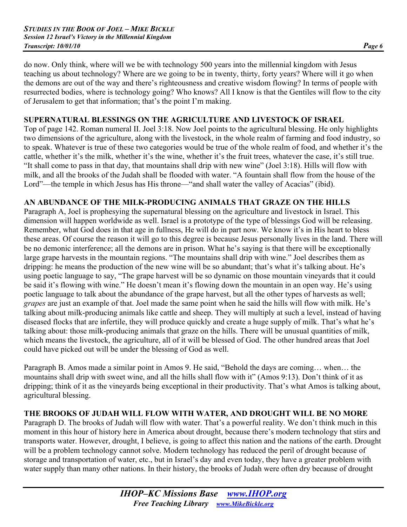do now. Only think, where will we be with technology 500 years into the millennial kingdom with Jesus teaching us about technology? Where are we going to be in twenty, thirty, forty years? Where will it go when the demons are out of the way and there's righteousness and creative wisdom flowing? In terms of people with resurrected bodies, where is technology going? Who knows? All I know is that the Gentiles will flow to the city of Jerusalem to get that information; that's the point I'm making.

# **SUPERNATURAL BLESSINGS ON THE AGRICULTURE AND LIVESTOCK OF ISRAEL**

Top of page 142. Roman numeral II. Joel 3:18. Now Joel points to the agricultural blessing. He only highlights two dimensions of the agriculture, along with the livestock, in the whole realm of farming and food industry, so to speak. Whatever is true of these two categories would be true of the whole realm of food, and whether it's the cattle, whether it's the milk, whether it's the wine, whether it's the fruit trees, whatever the case, it's still true. "It shall come to pass in that day, that mountains shall drip with new wine" (Joel 3:18). Hills will flow with milk, and all the brooks of the Judah shall be flooded with water. "A fountain shall flow from the house of the Lord"—the temple in which Jesus has His throne—"and shall water the valley of Acacias" (ibid).

# **AN ABUNDANCE OF THE MILK-PRODUCING ANIMALS THAT GRAZE ON THE HILLS**

Paragraph A, Joel is prophesying the supernatural blessing on the agriculture and livestock in Israel. This dimension will happen worldwide as well. Israel is a prototype of the type of blessings God will be releasing. Remember, what God does in that age in fullness, He will do in part now. We know it's in His heart to bless these areas. Of course the reason it will go to this degree is because Jesus personally lives in the land. There will be no demonic interference; all the demons are in prison. What he's saying is that there will be exceptionally large grape harvests in the mountain regions. "The mountains shall drip with wine." Joel describes them as dripping: he means the production of the new wine will be so abundant; that's what it's talking about. He's using poetic language to say, "The grape harvest will be so dynamic on those mountain vineyards that it could be said it's flowing with wine." He doesn't mean it's flowing down the mountain in an open way. He's using poetic language to talk about the abundance of the grape harvest, but all the other types of harvests as well; *grapes* are just an example of that. Joel made the same point when he said the hills will flow with milk. He's talking about milk-producing animals like cattle and sheep. They will multiply at such a level, instead of having diseased flocks that are infertile, they will produce quickly and create a huge supply of milk. That's what he's talking about: those milk-producing animals that graze on the hills. There will be unusual quantities of milk, which means the livestock, the agriculture, all of it will be blessed of God. The other hundred areas that Joel could have picked out will be under the blessing of God as well.

Paragraph B. Amos made a similar point in Amos 9. He said, "Behold the days are coming… when… the mountains shall drip with sweet wine, and all the hills shall flow with it" (Amos 9:13). Don't think of it as dripping; think of it as the vineyards being exceptional in their productivity. That's what Amos is talking about, agricultural blessing.

# **THE BROOKS OF JUDAH WILL FLOW WITH WATER, AND DROUGHT WILL BE NO MORE**

Paragraph D. The brooks of Judah will flow with water. That's a powerful reality. We don't think much in this moment in this hour of history here in America about drought, because there's modern technology that stirs and transports water. However, drought, I believe, is going to affect this nation and the nations of the earth. Drought will be a problem technology cannot solve. Modern technology has reduced the peril of drought because of storage and transportation of water, etc., but in Israel's day and even today, they have a greater problem with water supply than many other nations. In their history, the brooks of Judah were often dry because of drought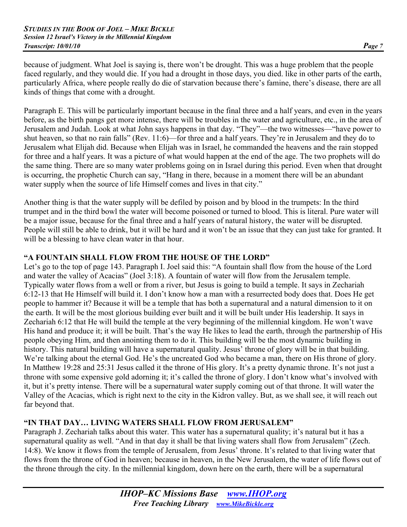because of judgment. What Joel is saying is, there won't be drought. This was a huge problem that the people faced regularly, and they would die. If you had a drought in those days, you died. like in other parts of the earth, particularly Africa, where people really do die of starvation because there's famine, there's disease, there are all kinds of things that come with a drought.

Paragraph E. This will be particularly important because in the final three and a half years, and even in the years before, as the birth pangs get more intense, there will be troubles in the water and agriculture, etc., in the area of Jerusalem and Judah. Look at what John says happens in that day. "They"—the two witnesses—"have power to shut heaven, so that no rain falls" (Rev. 11:6)—for three and a half years. They're in Jerusalem and they do to Jerusalem what Elijah did. Because when Elijah was in Israel, he commanded the heavens and the rain stopped for three and a half years. It was a picture of what would happen at the end of the age. The two prophets will do the same thing. There are so many water problems going on in Israel during this period. Even when that drought is occurring, the prophetic Church can say, "Hang in there, because in a moment there will be an abundant water supply when the source of life Himself comes and lives in that city."

Another thing is that the water supply will be defiled by poison and by blood in the trumpets: In the third trumpet and in the third bowl the water will become poisoned or turned to blood. This is literal. Pure water will be a major issue, because for the final three and a half years of natural history, the water will be disrupted. People will still be able to drink, but it will be hard and it won't be an issue that they can just take for granted. It will be a blessing to have clean water in that hour.

# **"A FOUNTAIN SHALL FLOW FROM THE HOUSE OF THE LORD"**

Let's go to the top of page 143. Paragraph I. Joel said this: "A fountain shall flow from the house of the Lord and water the valley of Acacias" (Joel 3:18). A fountain of water will flow from the Jerusalem temple. Typically water flows from a well or from a river, but Jesus is going to build a temple. It says in Zechariah 6:12-13 that He Himself will build it. I don't know how a man with a resurrected body does that. Does He get people to hammer it? Because it will be a temple that has both a supernatural and a natural dimension to it on the earth. It will be the most glorious building ever built and it will be built under His leadership. It says in Zechariah 6:12 that He will build the temple at the very beginning of the millennial kingdom. He won't wave His hand and produce it; it will be built. That's the way He likes to lead the earth, through the partnership of His people obeying Him, and then anointing them to do it. This building will be the most dynamic building in history. This natural building will have a supernatural quality. Jesus' throne of glory will be in that building. We're talking about the eternal God. He's the uncreated God who became a man, there on His throne of glory. In Matthew 19:28 and 25:31 Jesus called it the throne of His glory. It's a pretty dynamic throne. It's not just a throne with some expensive gold adorning it; it's called the throne of glory. I don't know what's involved with it, but it's pretty intense. There will be a supernatural water supply coming out of that throne. It will water the Valley of the Acacias, which is right next to the city in the Kidron valley. But, as we shall see, it will reach out far beyond that.

# **"IN THAT DAY… LIVING WATERS SHALL FLOW FROM JERUSALEM"**

Paragraph J. Zechariah talks about this water. This water has a supernatural quality; it's natural but it has a supernatural quality as well. "And in that day it shall be that living waters shall flow from Jerusalem" (Zech. 14:8). We know it flows from the temple of Jerusalem, from Jesus' throne. It's related to that living water that flows from the throne of God in heaven; because in heaven, in the New Jerusalem, the water of life flows out of the throne through the city. In the millennial kingdom, down here on the earth, there will be a supernatural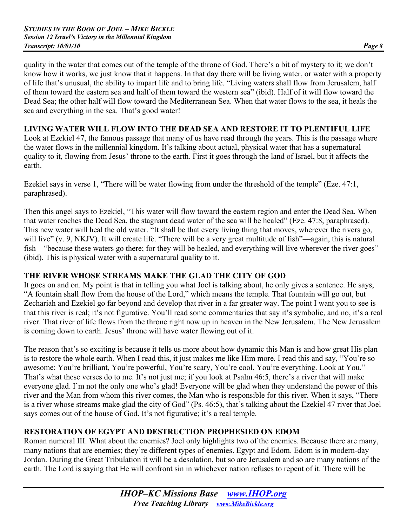quality in the water that comes out of the temple of the throne of God. There's a bit of mystery to it; we don't know how it works, we just know that it happens. In that day there will be living water, or water with a property of life that's unusual, the ability to impart life and to bring life. "Living waters shall flow from Jerusalem, half of them toward the eastern sea and half of them toward the western sea" (ibid). Half of it will flow toward the Dead Sea; the other half will flow toward the Mediterranean Sea. When that water flows to the sea, it heals the sea and everything in the sea. That's good water!

### **LIVING WATER WILL FLOW INTO THE DEAD SEA AND RESTORE IT TO PLENTIFUL LIFE**

Look at Ezekiel 47, the famous passage that many of us have read through the years. This is the passage where the water flows in the millennial kingdom. It's talking about actual, physical water that has a supernatural quality to it, flowing from Jesus' throne to the earth. First it goes through the land of Israel, but it affects the earth.

Ezekiel says in verse 1, "There will be water flowing from under the threshold of the temple" (Eze. 47:1, paraphrased).

Then this angel says to Ezekiel, "This water will flow toward the eastern region and enter the Dead Sea. When that water reaches the Dead Sea, the stagnant dead water of the sea will be healed" (Eze. 47:8, paraphrased). This new water will heal the old water. "It shall be that every living thing that moves, wherever the rivers go, will live" (v. 9, NKJV). It will create life. "There will be a very great multitude of fish"—again, this is natural fish—"because these waters go there; for they will be healed, and everything will live wherever the river goes" (ibid). This is physical water with a supernatural quality to it.

# **THE RIVER WHOSE STREAMS MAKE THE GLAD THE CITY OF GOD**

It goes on and on. My point is that in telling you what Joel is talking about, he only gives a sentence. He says, "A fountain shall flow from the house of the Lord," which means the temple. That fountain will go out, but Zechariah and Ezekiel go far beyond and develop that river in a far greater way. The point I want you to see is that this river is real; it's not figurative. You'll read some commentaries that say it's symbolic, and no, it's a real river. That river of life flows from the throne right now up in heaven in the New Jerusalem. The New Jerusalem is coming down to earth. Jesus' throne will have water flowing out of it.

The reason that's so exciting is because it tells us more about how dynamic this Man is and how great His plan is to restore the whole earth. When I read this, it just makes me like Him more. I read this and say, "You're so awesome: You're brilliant, You're powerful, You're scary, You're cool, You're everything. Look at You." That's what these verses do to me. It's not just me; if you look at Psalm 46:5, there's a river that will make everyone glad. I'm not the only one who's glad! Everyone will be glad when they understand the power of this river and the Man from whom this river comes, the Man who is responsible for this river. When it says, "There is a river whose streams make glad the city of God" (Ps. 46:5), that's talking about the Ezekiel 47 river that Joel says comes out of the house of God. It's not figurative; it's a real temple.

# **RESTORATION OF EGYPT AND DESTRUCTION PROPHESIED ON EDOM**

Roman numeral III. What about the enemies? Joel only highlights two of the enemies. Because there are many, many nations that are enemies; they're different types of enemies. Egypt and Edom. Edom is in modern-day Jordan. During the Great Tribulation it will be a desolation, but so are Jerusalem and so are many nations of the earth. The Lord is saying that He will confront sin in whichever nation refuses to repent of it. There will be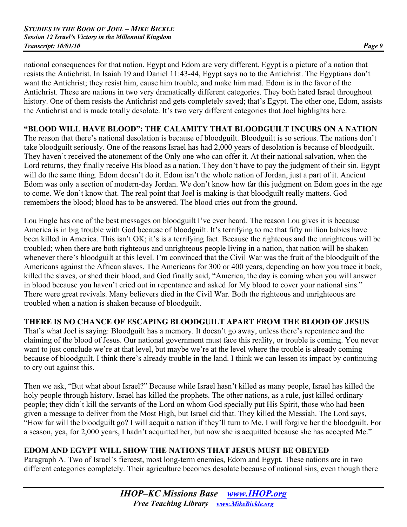national consequences for that nation. Egypt and Edom are very different. Egypt is a picture of a nation that resists the Antichrist. In Isaiah 19 and Daniel 11:43-44, Egypt says no to the Antichrist. The Egyptians don't want the Antichrist; they resist him, cause him trouble, and make him mad. Edom is in the favor of the Antichrist. These are nations in two very dramatically different categories. They both hated Israel throughout history. One of them resists the Antichrist and gets completely saved; that's Egypt. The other one, Edom, assists the Antichrist and is made totally desolate. It's two very different categories that Joel highlights here.

# **"BLOOD WILL HAVE BLOOD": THE CALAMITY THAT BLOODGUILT INCURS ON A NATION**

The reason that there's national desolation is because of bloodguilt. Bloodguilt is so serious. The nations don't take bloodguilt seriously. One of the reasons Israel has had 2,000 years of desolation is because of bloodguilt. They haven't received the atonement of the Only one who can offer it. At their national salvation, when the Lord returns, they finally receive His blood as a nation. They don't have to pay the judgment of their sin. Egypt will do the same thing. Edom doesn't do it. Edom isn't the whole nation of Jordan, just a part of it. Ancient Edom was only a section of modern-day Jordan. We don't know how far this judgment on Edom goes in the age to come. We don't know that. The real point that Joel is making is that bloodguilt really matters. God remembers the blood; blood has to be answered. The blood cries out from the ground.

Lou Engle has one of the best messages on bloodguilt I've ever heard. The reason Lou gives it is because America is in big trouble with God because of bloodguilt. It's terrifying to me that fifty million babies have been killed in America. This isn't OK; it's is a terrifying fact. Because the righteous and the unrighteous will be troubled; when there are both righteous and unrighteous people living in a nation, that nation will be shaken whenever there's bloodguilt at this level. I'm convinced that the Civil War was the fruit of the bloodguilt of the Americans against the African slaves. The Americans for 300 or 400 years, depending on how you trace it back, killed the slaves, or shed their blood, and God finally said, "America, the day is coming when you will answer in blood because you haven't cried out in repentance and asked for My blood to cover your national sins." There were great revivals. Many believers died in the Civil War. Both the righteous and unrighteous are troubled when a nation is shaken because of bloodguilt.

# **THERE IS NO CHANCE OF ESCAPING BLOODGUILT APART FROM THE BLOOD OF JESUS**

That's what Joel is saying: Bloodguilt has a memory. It doesn't go away, unless there's repentance and the claiming of the blood of Jesus. Our national government must face this reality, or trouble is coming. You never want to just conclude we're at that level, but maybe we're at the level where the trouble is already coming because of bloodguilt. I think there's already trouble in the land. I think we can lessen its impact by continuing to cry out against this.

Then we ask, "But what about Israel?" Because while Israel hasn't killed as many people, Israel has killed the holy people through history. Israel has killed the prophets. The other nations, as a rule, just killed ordinary people; they didn't kill the servants of the Lord on whom God specially put His Spirit, those who had been given a message to deliver from the Most High, but Israel did that. They killed the Messiah. The Lord says, "How far will the bloodguilt go? I will acquit a nation if they'll turn to Me. I will forgive her the bloodguilt. For a season, yea, for 2,000 years, I hadn't acquitted her, but now she is acquitted because she has accepted Me."

# **EDOM AND EGYPT WILL SHOW THE NATIONS THAT JESUS MUST BE OBEYED**

Paragraph A. Two of Israel's fiercest, most long-term enemies, Edom and Egypt. These nations are in two different categories completely. Their agriculture becomes desolate because of national sins, even though there